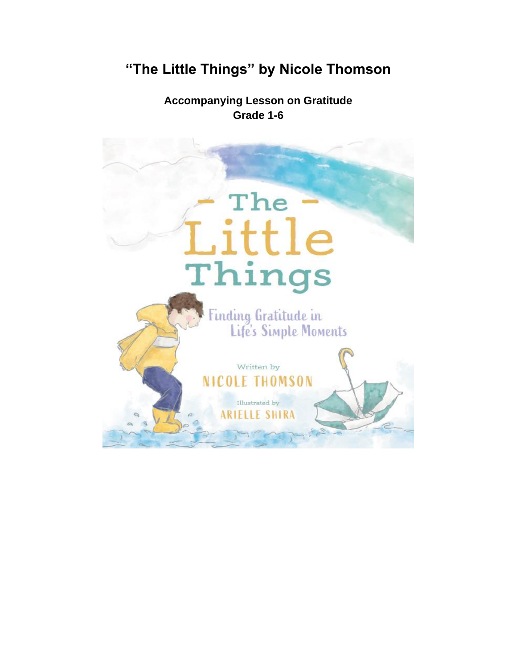# **"The Little Things" by Nicole Thomson**

**Accompanying Lesson on Gratitude Grade 1-6**

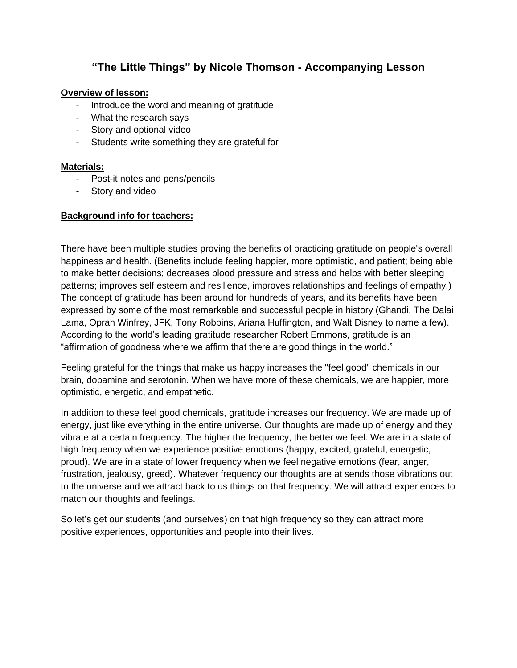# **"The Little Things" by Nicole Thomson - Accompanying Lesson**

#### **Overview of lesson:**

- Introduce the word and meaning of gratitude
- What the research says
- Story and optional video
- Students write something they are grateful for

#### **Materials:**

- Post-it notes and pens/pencils
- Story and video

#### **Background info for teachers:**

There have been multiple studies proving the benefits of practicing gratitude on people's overall happiness and health. (Benefits include feeling happier, more optimistic, and patient; being able to make better decisions; decreases blood pressure and stress and helps with better sleeping patterns; improves self esteem and resilience, improves relationships and feelings of empathy.) The concept of gratitude has been around for hundreds of years, and its benefits have been expressed by some of the most remarkable and successful people in history (Ghandi, The Dalai Lama, Oprah Winfrey, JFK, Tony Robbins, Ariana Huffington, and Walt Disney to name a few). According to the world's leading gratitude researcher Robert Emmons, gratitude is an "affirmation of goodness where we affirm that there are good things in the world."

Feeling grateful for the things that make us happy increases the "feel good" chemicals in our brain, dopamine and serotonin. When we have more of these chemicals, we are happier, more optimistic, energetic, and empathetic.

In addition to these feel good chemicals, gratitude increases our frequency. We are made up of energy, just like everything in the entire universe. Our thoughts are made up of energy and they vibrate at a certain frequency. The higher the frequency, the better we feel. We are in a state of high frequency when we experience positive emotions (happy, excited, grateful, energetic, proud). We are in a state of lower frequency when we feel negative emotions (fear, anger, frustration, jealousy, greed). Whatever frequency our thoughts are at sends those vibrations out to the universe and we attract back to us things on that frequency. We will attract experiences to match our thoughts and feelings.

So let's get our students (and ourselves) on that high frequency so they can attract more positive experiences, opportunities and people into their lives.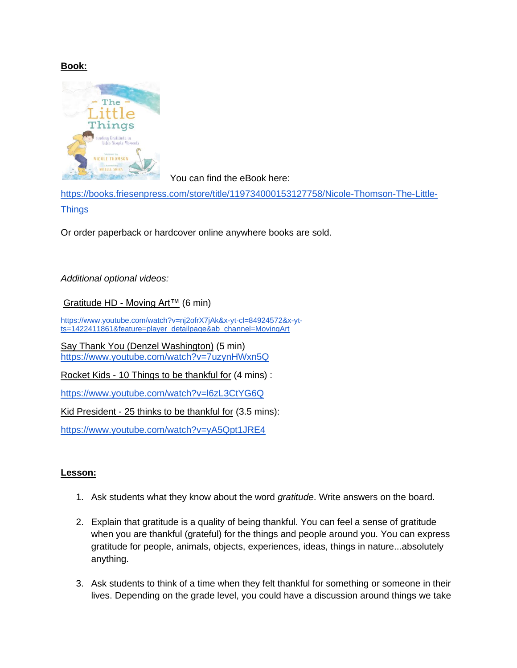### **Book:**



You can find the eBook here:

[https://books.friesenpress.com/store/title/119734000153127758/Nicole-Thomson-The-Little-](https://books.friesenpress.com/store/title/119734000153127758/Nicole-Thomson-The-Little-Things)**[Things](https://books.friesenpress.com/store/title/119734000153127758/Nicole-Thomson-The-Little-Things)** 

Or order paperback or hardcover online anywhere books are sold.

# *Additional optional videos:*

[Gratitude HD -](https://www.youtube.com/watch?v=nj2ofrX7jAk&x-yt-cl=84924572&x-yt-ts=1422411861&feature=player_detailpage&ab_channel=MovingArt) Moving Art™ (6 min)

[https://www.youtube.com/watch?v=nj2ofrX7jAk&x-yt-cl=84924572&x-yt](https://www.youtube.com/watch?v=nj2ofrX7jAk&x-yt-cl=84924572&x-yt-ts=1422411861&feature=player_detailpage&ab_channel=MovingArt)[ts=1422411861&feature=player\\_detailpage&ab\\_channel=MovingArt](https://www.youtube.com/watch?v=nj2ofrX7jAk&x-yt-cl=84924572&x-yt-ts=1422411861&feature=player_detailpage&ab_channel=MovingArt)

Say Thank You (Denzel Washington) (5 min) <https://www.youtube.com/watch?v=7uzynHWxn5Q>

Rocket Kids - 10 Things to be thankful for (4 mins) :

<https://www.youtube.com/watch?v=l6zL3CtYG6Q>

Kid President - 25 thinks to be thankful for (3.5 mins):

<https://www.youtube.com/watch?v=yA5Qpt1JRE4>

#### **Lesson:**

- 1. Ask students what they know about the word *gratitude*. Write answers on the board.
- 2. Explain that gratitude is a quality of being thankful. You can feel a sense of gratitude when you are thankful (grateful) for the things and people around you. You can express gratitude for people, animals, objects, experiences, ideas, things in nature...absolutely anything.
- 3. Ask students to think of a time when they felt thankful for something or someone in their lives. Depending on the grade level, you could have a discussion around things we take